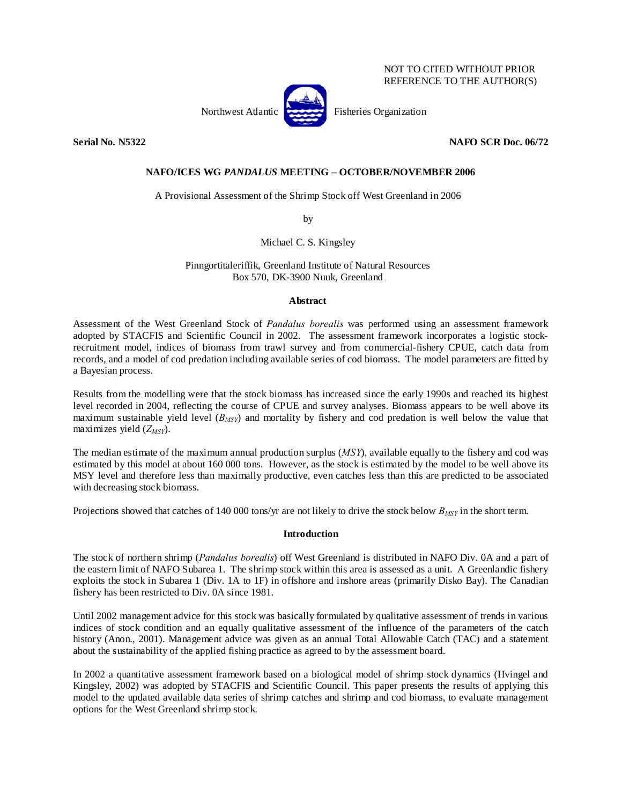| NOT TO CITED WITHOUT PRIOR |
|----------------------------|
| REFERENCE TO THE AUTHOR(S) |

Northwest Atlantic Fisheries Organization

**Serial No. N5322 NAFO SCR Doc. 06/72** 

# **NAFO/ICES WG** *PANDALUS* **MEETING – OCTOBER/NOVEMBER 2006**

A Provisional Assessment of the Shrimp Stock off West Greenland in 2006

by

Michael C. S. Kingsley

Pinngortitaleriffik, Greenland Institute of Natural Resources Box 570, DK-3900 Nuuk, Greenland

## **Abstract**

Assessment of the West Greenland Stock of *Pandalus borealis* was performed using an assessment framework adopted by STACFIS and Scientific Council in 2002. The assessment framework incorporates a logistic stockrecruitment model, indices of biomass from trawl survey and from commercial-fishery CPUE, catch data from records, and a model of cod predation including available series of cod biomass. The model parameters are fitted by a Bayesian process.

Results from the modelling were that the stock biomass has increased since the early 1990s and reached its highest level recorded in 2004, reflecting the course of CPUE and survey analyses. Biomass appears to be well above its maximum sustainable yield level (*BMSY*) and mortality by fishery and cod predation is well below the value that maximizes yield ( $Z_{MSY}$ ).

The median estimate of the maximum annual production surplus (*MSY*), available equally to the fishery and cod was estimated by this model at about 160 000 tons. However, as the stock is estimated by the model to be well above its MSY level and therefore less than maximally productive, even catches less than this are predicted to be associated with decreasing stock biomass.

Projections showed that catches of 140 000 tons/yr are not likely to drive the stock below  $B_{MSY}$  in the short term.

## **Introduction**

The stock of northern shrimp (*Pandalus borealis*) off West Greenland is distributed in NAFO Div. 0A and a part of the eastern limit of NAFO Subarea 1. The shrimp stock within this area is assessed as a unit. A Greenlandic fishery exploits the stock in Subarea 1 (Div. 1A to 1F) in offshore and inshore areas (primarily Disko Bay). The Canadian fishery has been restricted to Div. 0A since 1981.

Until 2002 management advice for this stock was basically formulated by qualitative assessment of trends in various indices of stock condition and an equally qualitative assessment of the influence of the parameters of the catch history (Anon., 2001). Management advice was given as an annual Total Allowable Catch (TAC) and a statement about the sustainability of the applied fishing practice as agreed to by the assessment board.

In 2002 a quantitative assessment framework based on a biological model of shrimp stock dynamics (Hvingel and Kingsley, 2002) was adopted by STACFIS and Scientific Council. This paper presents the results of applying this model to the updated available data series of shrimp catches and shrimp and cod biomass, to evaluate management options for the West Greenland shrimp stock.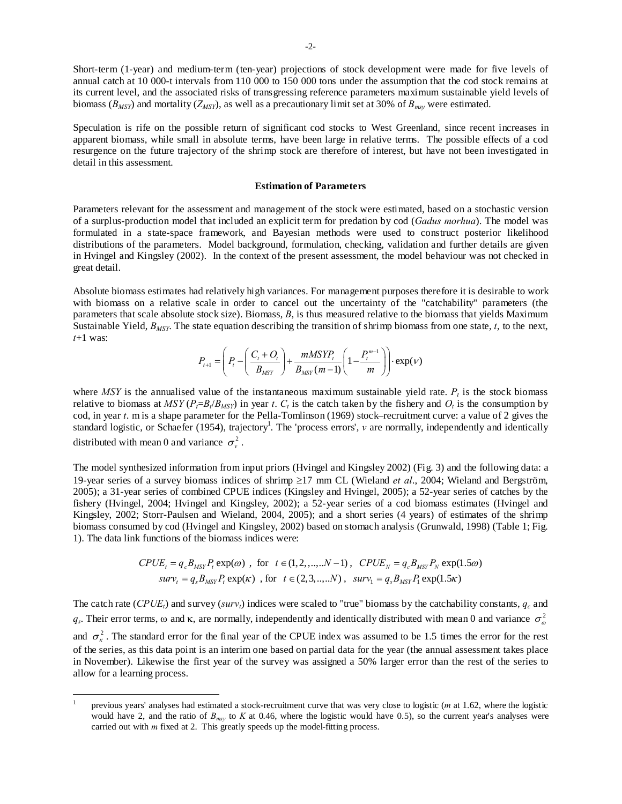Short-term (1-year) and medium-term (ten-year) projections of stock development were made for five levels of annual catch at 10 000-t intervals from 110 000 to 150 000 tons under the assumption that the cod stock remains at its current level, and the associated risks of transgressing reference parameters maximum sustainable yield levels of biomass (*BMSY*) and mortality (*ZMSY*), as well as a precautionary limit set at 30% of *Bmsy* were estimated.

Speculation is rife on the possible return of significant cod stocks to West Greenland, since recent increases in apparent biomass, while small in absolute terms, have been large in relative terms. The possible effects of a cod resurgence on the future trajectory of the shrimp stock are therefore of interest, but have not been investigated in detail in this assessment.

#### **Estimation of Parameters**

Parameters relevant for the assessment and management of the stock were estimated, based on a stochastic version of a surplus-production model that included an explicit term for predation by cod (*Gadus morhua*). The model was formulated in a state-space framework, and Bayesian methods were used to construct posterior likelihood distributions of the parameters. Model background, formulation, checking, validation and further details are given in Hvingel and Kingsley (2002). In the context of the present assessment, the model behaviour was not checked in great detail.

Absolute biomass estimates had relatively high variances. For management purposes therefore it is desirable to work with biomass on a relative scale in order to cancel out the uncertainty of the "catchability" parameters (the parameters that scale absolute stock size). Biomass, *B*, is thus measured relative to the biomass that yields Maximum Sustainable Yield, *BMSY*. The state equation describing the transition of shrimp biomass from one state, *t*, to the next, *t*+1 was:

$$
P_{t+1} = \left(P_t - \left(\frac{C_t + O_t}{B_{MSY}}\right) + \frac{mMSYP_t}{B_{MSY}(m-1)} \left(1 - \frac{P_t^{m-1}}{m}\right)\right) \cdot \exp(\nu)
$$

where *MSY* is the annualised value of the instantaneous maximum sustainable yield rate.  $P_t$  is the stock biomass relative to biomass at  $MSY(P_f=B_f/B_{MSY})$  in year *t*.  $C_t$  is the catch taken by the fishery and  $O_t$  is the consumption by cod, in year *t*. m is a shape parameter for the Pella-Tomlinson (1969) stock–recruitment curve: a value of 2 gives the standard logistic, or Schaefer (1954), trajectory<sup>1</sup>. The 'process errors', *v* are normally, independently and identically distributed with mean 0 and variance  $\sigma_v^2$ .

The model synthesized information from input priors (Hvingel and Kingsley 2002) (Fig. 3) and the following data: a 19-year series of a survey biomass indices of shrimp ≥17 mm CL (Wieland *et al*., 2004; Wieland and Bergström, 2005); a 31-year series of combined CPUE indices (Kingsley and Hvingel, 2005); a 52-year series of catches by the fishery (Hvingel, 2004; Hvingel and Kingsley, 2002); a 52-year series of a cod biomass estimates (Hvingel and Kingsley, 2002; Storr-Paulsen and Wieland, 2004, 2005); and a short series (4 years) of estimates of the shrimp biomass consumed by cod (Hvingel and Kingsley, 2002) based on stomach analysis (Grunwald, 1998) (Table 1; Fig. 1). The data link functions of the biomass indices were:

$$
CPUE_t = q_c B_{MSY} P_t \exp(\omega), \text{ for } t \in (1, 2, ..., N - 1), CPUE_N = q_c B_{MSY} P_N \exp(1.5\omega)
$$
  

$$
surv_t = q_s B_{MSY} P_t \exp(\kappa), \text{ for } t \in (2, 3, ..., N), surv_1 = q_s B_{MSY} P_t \exp(1.5\kappa)
$$

The catch rate (*CPUE<sub>t</sub>*) and survey (*surv<sub>t</sub>*) indices were scaled to "true" biomass by the catchability constants,  $q_c$  and  $q_s$ . Their error terms,  $\omega$  and  $\kappa$ , are normally, independently and identically distributed with mean 0 and variance  $\sigma_\omega^2$ and  $\sigma_{\kappa}^2$ . The standard error for the final year of the CPUE index was assumed to be 1.5 times the error for the rest of the series, as this data point is an interim one based on partial data for the year (the annual assessment takes place in November). Likewise the first year of the survey was assigned a 50% larger error than the rest of the series to allow for a learning process.

 $\overline{a}$ 

<sup>1</sup> previous years' analyses had estimated a stock-recruitment curve that was very close to logistic (*m* at 1.62, where the logistic would have 2, and the ratio of  $B_{msv}$  to  $K$  at 0.46, where the logistic would have 0.5), so the current year's analyses were carried out with *m* fixed at 2. This greatly speeds up the model-fitting process.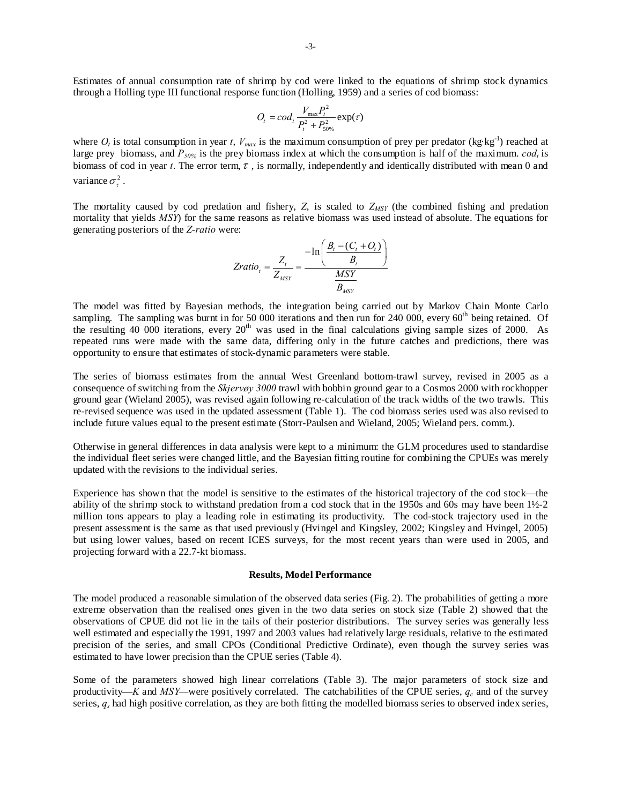Estimates of annual consumption rate of shrimp by cod were linked to the equations of shrimp stock dynamics through a Holling type III functional response function (Holling, 1959) and a series of cod biomass:

$$
O_t = cod_t \frac{V_{\text{max}} P_t^2}{P_t^2 + P_{50\%}^2} \exp(\tau)
$$

where  $O_t$  is total consumption in year *t*,  $V_{max}$  is the maximum consumption of prey per predator (kg·kg<sup>-1</sup>) reached at large prey biomass, and  $P_{50\%}$  is the prey biomass index at which the consumption is half of the maximum.  $cod_t$  is biomass of cod in year *t*. The error term,  $\tau$ , is normally, independently and identically distributed with mean 0 and variance  $\sigma^2$ .

The mortality caused by cod predation and fishery,  $Z$ , is scaled to  $Z_{MSY}$  (the combined fishing and predation mortality that yields *MSY*) for the same reasons as relative biomass was used instead of absolute. The equations for generating posteriors of the *Z-ratio* were:

$$
Zratio_t = \frac{Z_t}{Z_{MSY}} = \frac{-\ln\left(\frac{B_t - (C_t + O_t)}{B_t}\right)}{\frac{MSY}{B_{MSY}}}
$$

The model was fitted by Bayesian methods, the integration being carried out by Markov Chain Monte Carlo sampling. The sampling was burnt in for 50 000 iterations and then run for 240 000, every  $60<sup>th</sup>$  being retained. Of the resulting 40 000 iterations, every 20<sup>th</sup> was used in the final calculations giving sample sizes of 2000. As repeated runs were made with the same data, differing only in the future catches and predictions, there was opportunity to ensure that estimates of stock-dynamic parameters were stable.

The series of biomass estimates from the annual West Greenland bottom-trawl survey, revised in 2005 as a consequence of switching from the *Skjervøy 3000* trawl with bobbin ground gear to a Cosmos 2000 with rockhopper ground gear (Wieland 2005), was revised again following re-calculation of the track widths of the two trawls. This re-revised sequence was used in the updated assessment (Table 1). The cod biomass series used was also revised to include future values equal to the present estimate (Storr-Paulsen and Wieland, 2005; Wieland pers. comm.).

Otherwise in general differences in data analysis were kept to a minimum: the GLM procedures used to standardise the individual fleet series were changed little, and the Bayesian fitting routine for combining the CPUEs was merely updated with the revisions to the individual series.

Experience has shown that the model is sensitive to the estimates of the historical trajectory of the cod stock—the ability of the shrimp stock to withstand predation from a cod stock that in the 1950s and 60s may have been 1½-2 million tons appears to play a leading role in estimating its productivity. The cod-stock trajectory used in the present assessment is the same as that used previously (Hvingel and Kingsley, 2002; Kingsley and Hvingel, 2005) but using lower values, based on recent ICES surveys, for the most recent years than were used in 2005, and projecting forward with a 22.7-kt biomass.

### **Results, Model Performance**

The model produced a reasonable simulation of the observed data series (Fig. 2). The probabilities of getting a more extreme observation than the realised ones given in the two data series on stock size (Table 2) showed that the observations of CPUE did not lie in the tails of their posterior distributions. The survey series was generally less well estimated and especially the 1991, 1997 and 2003 values had relatively large residuals, relative to the estimated precision of the series, and small CPOs (Conditional Predictive Ordinate), even though the survey series was estimated to have lower precision than the CPUE series (Table 4).

Some of the parameters showed high linear correlations (Table 3). The major parameters of stock size and productivity—*K* and *MSY*—were positively correlated. The catchabilities of the CPUE series,  $q_c$  and of the survey series, *qs* had high positive correlation, as they are both fitting the modelled biomass series to observed index series,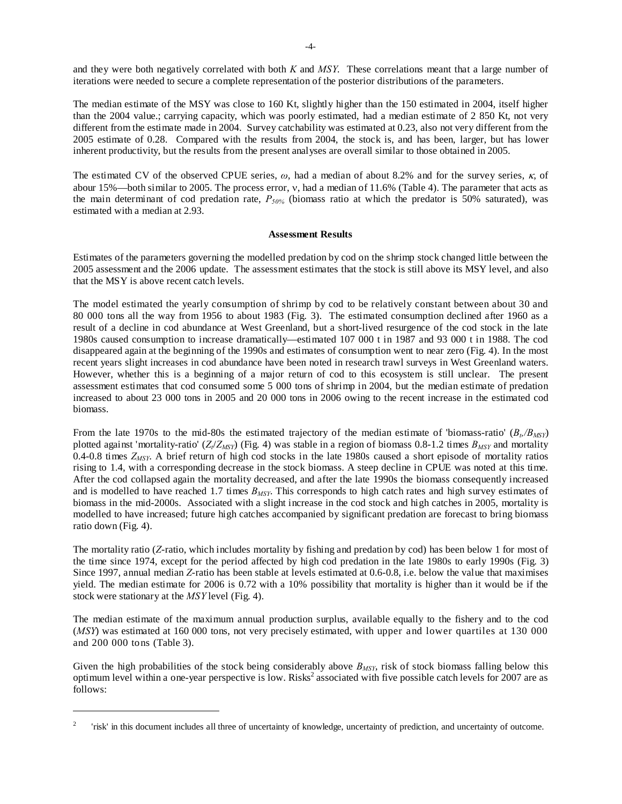and they were both negatively correlated with both *K* and *MSY*. These correlations meant that a large number of iterations were needed to secure a complete representation of the posterior distributions of the parameters.

The median estimate of the MSY was close to 160 Kt, slightly higher than the 150 estimated in 2004, itself higher than the 2004 value.; carrying capacity, which was poorly estimated, had a median estimate of 2 850 Kt, not very different from the estimate made in 2004. Survey catchability was estimated at 0.23, also not very different from the 2005 estimate of 0.28. Compared with the results from 2004, the stock is, and has been, larger, but has lower inherent productivity, but the results from the present analyses are overall similar to those obtained in 2005.

The estimated CV of the observed CPUE series, *ω*, had a median of about 8.2% and for the survey series, κ, of abour 15%—both similar to 2005. The process error, ν, had a median of 11.6% (Table 4). The parameter that acts as the main determinant of cod predation rate,  $P_{50\%}$  (biomass ratio at which the predator is 50% saturated), was estimated with a median at 2.93.

## **Assessment Results**

Estimates of the parameters governing the modelled predation by cod on the shrimp stock changed little between the 2005 assessment and the 2006 update. The assessment estimates that the stock is still above its MSY level, and also that the MSY is above recent catch levels.

The model estimated the yearly consumption of shrimp by cod to be relatively constant between about 30 and 80 000 tons all the way from 1956 to about 1983 (Fig. 3). The estimated consumption declined after 1960 as a result of a decline in cod abundance at West Greenland, but a short-lived resurgence of the cod stock in the late 1980s caused consumption to increase dramatically—estimated 107 000 t in 1987 and 93 000 t in 1988. The cod disappeared again at the beginning of the 1990s and estimates of consumption went to near zero (Fig. 4). In the most recent years slight increases in cod abundance have been noted in research trawl surveys in West Greenland waters. However, whether this is a beginning of a major return of cod to this ecosystem is still unclear. The present assessment estimates that cod consumed some 5 000 tons of shrimp in 2004, but the median estimate of predation increased to about 23 000 tons in 2005 and 20 000 tons in 2006 owing to the recent increase in the estimated cod biomass.

From the late 1970s to the mid-80s the estimated trajectory of the median estimate of 'biomass-ratio'  $(B_t/B_{MSP})$ plotted against 'mortality-ratio'  $(Z_t/Z_{\text{MSY}})$  (Fig. 4) was stable in a region of biomass 0.8-1.2 times  $B_{\text{MSY}}$  and mortality 0.4-0.8 times *ZMSY*. A brief return of high cod stocks in the late 1980s caused a short episode of mortality ratios rising to 1.4, with a corresponding decrease in the stock biomass. A steep decline in CPUE was noted at this time. After the cod collapsed again the mortality decreased, and after the late 1990s the biomass consequently increased and is modelled to have reached 1.7 times  $B_{MSY}$ . This corresponds to high catch rates and high survey estimates of biomass in the mid-2000s. Associated with a slight increase in the cod stock and high catches in 2005, mortality is modelled to have increased; future high catches accompanied by significant predation are forecast to bring biomass ratio down (Fig. 4).

The mortality ratio (*Z*-ratio, which includes mortality by fishing and predation by cod) has been below 1 for most of the time since 1974, except for the period affected by high cod predation in the late 1980s to early 1990s (Fig. 3) Since 1997, annual median *Z*-ratio has been stable at levels estimated at 0.6-0.8, i.e. below the value that maximises yield. The median estimate for 2006 is 0.72 with a 10% possibility that mortality is higher than it would be if the stock were stationary at the *MSY* level (Fig. 4).

The median estimate of the maximum annual production surplus, available equally to the fishery and to the cod (*MSY*) was estimated at 160 000 tons, not very precisely estimated, with upper and lower quartiles at 130 000 and 200 000 tons (Table 3).

Given the high probabilities of the stock being considerably above  $B_{MSY}$ , risk of stock biomass falling below this optimum level within a one-year perspective is low. Risks<sup>2</sup> associated with five possible catch levels for 2007 are as follows:

 $\overline{a}$ 

<sup>2</sup> 'risk' in this document includes all three of uncertainty of knowledge, uncertainty of prediction, and uncertainty of outcome.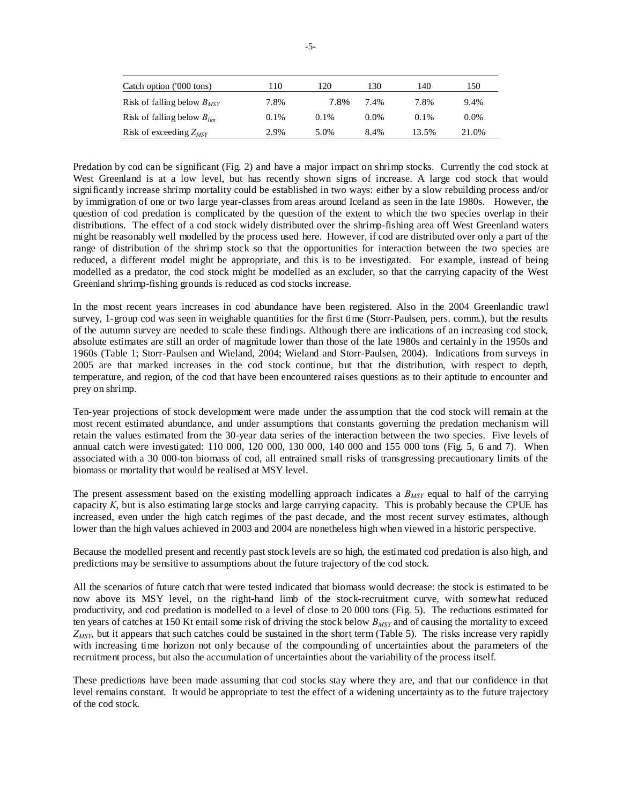| Catch option ('000 tons)        | 110     | 120     | 130     | 140     | 150     |
|---------------------------------|---------|---------|---------|---------|---------|
| Risk of falling below $B_{MSY}$ | 7.8%    | 7.8%    | 7.4%    | 7.8%    | 9.4%    |
| Risk of falling below $B_{lim}$ | $0.1\%$ | $0.1\%$ | $0.0\%$ | $0.1\%$ | $0.0\%$ |
| Risk of exceeding $Z_{MSY}$     | 2.9%    | 5.0%    | 8.4%    | 13.5%   | 21.0%   |

Predation by cod can be significant (Fig. 2) and have a major impact on shrimp stocks. Currently the cod stock at West Greenland is at a low level, but has recently shown signs of increase. A large cod stock that would significantly increase shrimp mortality could be established in two ways: either by a slow rebuilding process and/or by immigration of one or two large year-classes from areas around Iceland as seen in the late 1980s. However, the question of cod predation is complicated by the question of the extent to which the two species overlap in their distributions. The effect of a cod stock widely distributed over the shrimp-fishing area off West Greenland waters might be reasonably well modelled by the process used here. However, if cod are distributed over only a part of the range of distribution of the shrimp stock so that the opportunities for interaction between the two species are reduced, a different model might be appropriate, and this is to be investigated. For example, instead of being modelled as a predator, the cod stock might be modelled as an excluder, so that the carrying capacity of the West Greenland shrimp-fishing grounds is reduced as cod stocks increase.

In the most recent years increases in cod abundance have been registered. Also in the 2004 Greenlandic trawl survey, 1-group cod was seen in weighable quantities for the first time (Storr-Paulsen, pers. comm.), but the results of the autumn survey are needed to scale these findings. Although there are indications of an increasing cod stock, absolute estimates are still an order of magnitude lower than those of the late 1980s and certainly in the 1950s and 1960s (Table 1; Storr-Paulsen and Wieland, 2004; Wieland and Storr-Paulsen, 2004). Indications from surveys in 2005 are that marked increases in the cod stock continue, but that the distribution, with respect to depth, temperature, and region, of the cod that have been encountered raises questions as to their aptitude to encounter and prey on shrimp.

Ten-year projections of stock development were made under the assumption that the cod stock will remain at the most recent estimated abundance, and under assumptions that constants governing the predation mechanism will retain the values estimated from the 30-year data series of the interaction between the two species. Five levels of annual catch were investigated: 110 000, 120 000, 130 000, 140 000 and 155 000 tons (Fig. 5, 6 and 7). When associated with a 30 000-ton biomass of cod, all entrained small risks of transgressing precautionary limits of the biomass or mortality that would be realised at MSY level.

The present assessment based on the existing modelling approach indicates a  $B_{MSY}$  equal to half of the carrying capacity *K*, but is also estimating large stocks and large carrying capacity. This is probably because the CPUE has increased, even under the high catch regimes of the past decade, and the most recent survey estimates, although lower than the high values achieved in 2003 and 2004 are nonetheless high when viewed in a historic perspective.

Because the modelled present and recently past stock levels are so high, the estimated cod predation is also high, and predictions may be sensitive to assumptions about the future trajectory of the cod stock.

All the scenarios of future catch that were tested indicated that biomass would decrease: the stock is estimated to be now above its MSY level, on the right-hand limb of the stock-recruitment curve, with somewhat reduced productivity, and cod predation is modelled to a level of close to 20 000 tons (Fig. 5). The reductions estimated for ten years of catches at 150 Kt entail some risk of driving the stock below  $B_{MSY}$  and of causing the mortality to exceed *ZMSY*, but it appears that such catches could be sustained in the short term (Table 5). The risks increase very rapidly with increasing time horizon not only because of the compounding of uncertainties about the parameters of the recruitment process, but also the accumulation of uncertainties about the variability of the process itself.

These predictions have been made assuming that cod stocks stay where they are, and that our confidence in that level remains constant. It would be appropriate to test the effect of a widening uncertainty as to the future trajectory of the cod stock.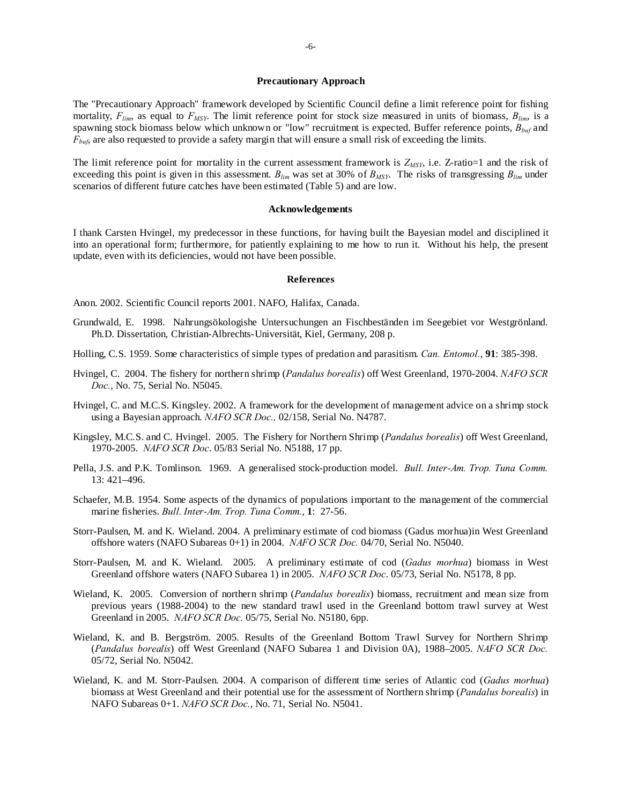#### **Precautionary Approach**

The "Precautionary Approach" framework developed by Scientific Council define a limit reference point for fishing mortality,  $F_{lim}$ , as equal to  $F_{MSY}$ . The limit reference point for stock size measured in units of biomass,  $B_{lim}$ , is a spawning stock biomass below which unknown or "low" recruitment is expected. Buffer reference points, *Bbuf* and *F<sub>bu6</sub>* are also requested to provide a safety margin that will ensure a small risk of exceeding the limits.

The limit reference point for mortality in the current assessment framework is  $Z_{MSY}$ , i.e.  $Z$ -ratio=1 and the risk of exceeding this point is given in this assessment.  $B_{lim}$  was set at 30% of  $B_{MSY}$ . The risks of transgressing  $B_{lim}$  under scenarios of different future catches have been estimated (Table 5) and are low.

#### **Acknowledgements**

I thank Carsten Hvingel, my predecessor in these functions, for having built the Bayesian model and disciplined it into an operational form; furthermore, for patiently explaining to me how to run it. Without his help, the present update, even with its deficiencies, would not have been possible.

#### **References**

Anon. 2002. Scientific Council reports 2001. NAFO, Halifax, Canada.

- Grundwald, E. 1998. Nahrungsökologishe Untersuchungen an Fischbeständen im Seegebiet vor Westgrönland. Ph.D. Dissertation, Christian-Albrechts-Universität, Kiel, Germany, 208 p.
- Holling, C.S. 1959. Some characteristics of simple types of predation and parasitism. *Can. Entomol.*, **91**: 385-398.
- Hvingel, C. 2004. The fishery for northern shrimp (*Pandalus borealis*) off West Greenland, 1970-2004. *NAFO SCR Doc.*, No. 75, Serial No. N5045.
- Hvingel, C. and M.C.S. Kingsley. 2002. A framework for the development of management advice on a shrimp stock using a Bayesian approach. *NAFO SCR Doc.,* 02/158, Serial No. N4787.
- Kingsley, M.C.S. and C. Hvingel. 2005. The Fishery for Northern Shrimp (*Pandalus borealis*) off West Greenland, 1970-2005. *NAFO SCR Doc*. 05/83 Serial No. N5188, 17 pp.
- Pella, J.S. and P.K. Tomlinson. 1969. A generalised stock-production model. *Bull. Inter-Am. Trop. Tuna Comm.*  13: 421–496.
- Schaefer, M.B. 1954. Some aspects of the dynamics of populations important to the management of the commercial marine fisheries. *Bull. Inter-Am. Trop. Tuna Comm.*, **1**: 27-56.
- Storr-Paulsen, M. and K. Wieland. 2004. A preliminary estimate of cod biomass (Gadus morhua)in West Greenland offshore waters (NAFO Subareas 0+1) in 2004. *NAFO SCR Doc.* 04/70, Serial No. N5040.
- Storr-Paulsen, M. and K. Wieland. 2005. A preliminary estimate of cod (*Gadus morhua*) biomass in West Greenland offshore waters (NAFO Subarea 1) in 2005. *NAFO SCR Doc*. 05/73, Serial No. N5178, 8 pp.
- Wieland, K. 2005. Conversion of northern shrimp (*Pandalus borealis*) biomass, recruitment and mean size from previous years (1988-2004) to the new standard trawl used in the Greenland bottom trawl survey at West Greenland in 2005. *NAFO SCR Doc.* 05/75, Serial No. N5180, 6pp.
- Wieland, K. and B. Bergström. 2005. Results of the Greenland Bottom Trawl Survey for Northern Shrimp (*Pandalus borealis*) off West Greenland (NAFO Subarea 1 and Division 0A), 1988–2005. *NAFO SCR Doc.* 05/72, Serial No. N5042.
- Wieland, K. and M. Storr-Paulsen. 2004. A comparison of different time series of Atlantic cod (*Gadus morhua*) biomass at West Greenland and their potential use for the assessment of Northern shrimp (*Pandalus borealis*) in NAFO Subareas 0+1. *NAFO SCR Doc.*, No. 71, Serial No. N5041.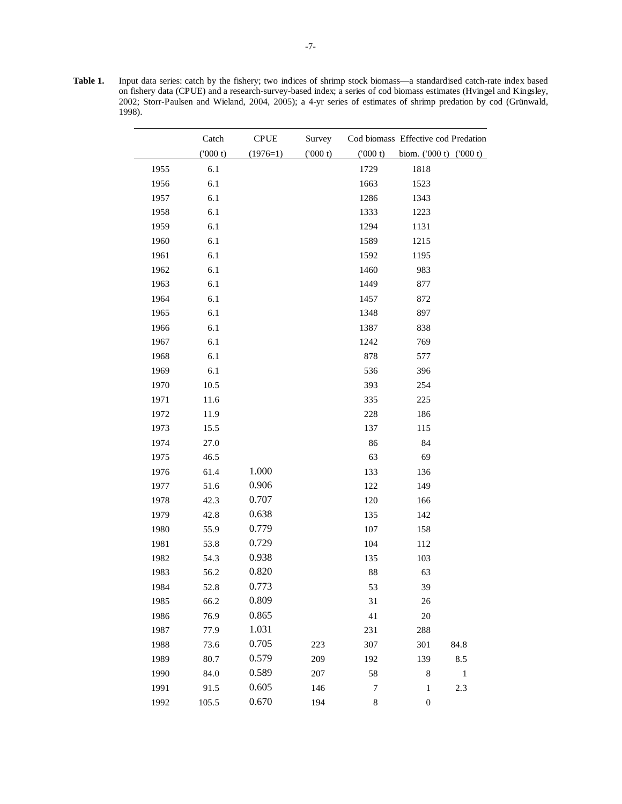**Table 1.** Input data series: catch by the fishery; two indices of shrimp stock biomass—a standardised catch-rate index based on fishery data (CPUE) and a research-survey-based index; a series of cod biomass estimates (Hvingel and Kingsley, 2002; Storr-Paulsen and Wieland, 2004, 2005); a 4-yr series of estimates of shrimp predation by cod (Grünwald, 1998).

|      | Catch   | <b>CPUE</b> | Survey  |             | Cod biomass Effective cod Predation |              |
|------|---------|-------------|---------|-------------|-------------------------------------|--------------|
|      | (000 t) | $(1976=1)$  | (000 t) | ('000 t)    | biom. $(000 t) (000 t)$             |              |
| 1955 | 6.1     |             |         | 1729        | 1818                                |              |
| 1956 | 6.1     |             |         | 1663        | 1523                                |              |
| 1957 | 6.1     |             |         | 1286        | 1343                                |              |
| 1958 | 6.1     |             |         | 1333        | 1223                                |              |
| 1959 | 6.1     |             |         | 1294        | 1131                                |              |
| 1960 | 6.1     |             |         | 1589        | 1215                                |              |
| 1961 | 6.1     |             |         | 1592        | 1195                                |              |
| 1962 | 6.1     |             |         | 1460        | 983                                 |              |
| 1963 | 6.1     |             |         | 1449        | 877                                 |              |
| 1964 | 6.1     |             |         | 1457        | 872                                 |              |
| 1965 | 6.1     |             |         | 1348        | 897                                 |              |
| 1966 | 6.1     |             |         | 1387        | 838                                 |              |
| 1967 | 6.1     |             |         | 1242        | 769                                 |              |
| 1968 | 6.1     |             |         | 878         | 577                                 |              |
| 1969 | 6.1     |             |         | 536         | 396                                 |              |
| 1970 | 10.5    |             |         | 393         | 254                                 |              |
| 1971 | 11.6    |             |         | 335         | 225                                 |              |
| 1972 | 11.9    |             |         | 228         | 186                                 |              |
| 1973 | 15.5    |             |         | 137         | 115                                 |              |
| 1974 | 27.0    |             |         | 86          | 84                                  |              |
| 1975 | 46.5    |             |         | 63          | 69                                  |              |
| 1976 | 61.4    | 1.000       |         | 133         | 136                                 |              |
| 1977 | 51.6    | 0.906       |         | 122         | 149                                 |              |
| 1978 | 42.3    | 0.707       |         | 120         | 166                                 |              |
| 1979 | 42.8    | 0.638       |         | 135         | 142                                 |              |
| 1980 | 55.9    | 0.779       |         | 107         | 158                                 |              |
| 1981 | 53.8    | 0.729       |         | 104         | 112                                 |              |
| 1982 | 54.3    | 0.938       |         | 135         | 103                                 |              |
| 1983 | 56.2    | 0.820       |         | 88          | 63                                  |              |
| 1984 | 52.8    | 0.773       |         | 53          | 39                                  |              |
| 1985 | 66.2    | 0.809       |         | 31          | 26                                  |              |
| 1986 | 76.9    | 0.865       |         | 41          | $20\,$                              |              |
| 1987 | 77.9    | 1.031       |         | 231         | 288                                 |              |
| 1988 | 73.6    | 0.705       | 223     | 307         | 301                                 | 84.8         |
| 1989 | 80.7    | 0.579       | 209     | 192         | 139                                 | 8.5          |
| 1990 | 84.0    | 0.589       | 207     | 58          | 8                                   | $\mathbf{1}$ |
| 1991 | 91.5    | 0.605       | 146     | 7           | $\mathbf{1}$                        | 2.3          |
| 1992 | 105.5   | 0.670       | 194     | $\,$ 8 $\,$ | $\boldsymbol{0}$                    |              |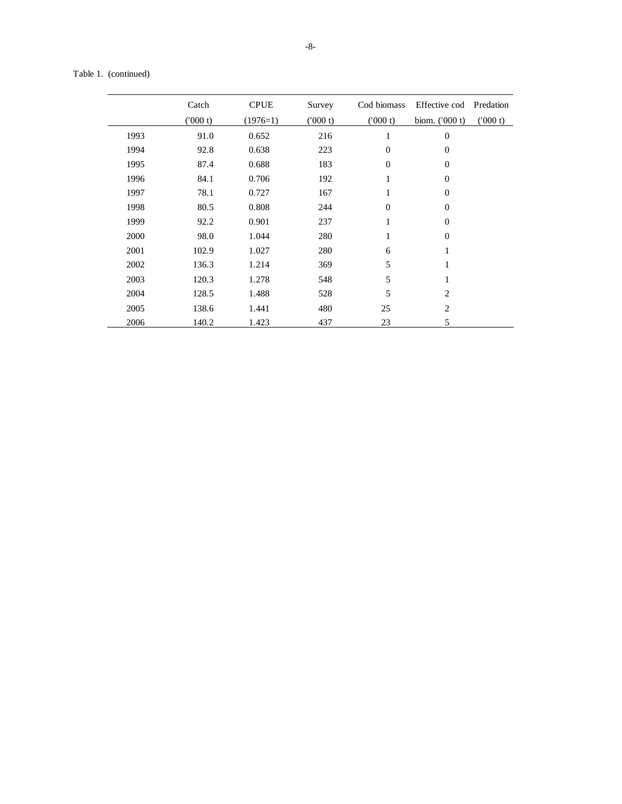| Table 1. | (continued) |
|----------|-------------|
|----------|-------------|

|      | Catch   | <b>CPUE</b> | Survey   | Cod biomass      | Effective cod Predation |         |
|------|---------|-------------|----------|------------------|-------------------------|---------|
|      | (000 t) | $(1976=1)$  | (1000 t) | (000 t)          | biom. $(000 t)$         | (000 t) |
| 1993 | 91.0    | 0.652       | 216      | $\mathbf{1}$     | $\boldsymbol{0}$        |         |
| 1994 | 92.8    | 0.638       | 223      | $\boldsymbol{0}$ | $\boldsymbol{0}$        |         |
| 1995 | 87.4    | 0.688       | 183      | $\theta$         | $\boldsymbol{0}$        |         |
| 1996 | 84.1    | 0.706       | 192      | 1                | $\boldsymbol{0}$        |         |
| 1997 | 78.1    | 0.727       | 167      | $\mathbf{1}$     | $\boldsymbol{0}$        |         |
| 1998 | 80.5    | 0.808       | 244      | $\mathbf{0}$     | $\boldsymbol{0}$        |         |
| 1999 | 92.2    | 0.901       | 237      | 1                | $\overline{0}$          |         |
| 2000 | 98.0    | 1.044       | 280      | 1                | $\boldsymbol{0}$        |         |
| 2001 | 102.9   | 1.027       | 280      | 6                | $\mathbf{1}$            |         |
| 2002 | 136.3   | 1.214       | 369      | 5                | $\mathbf{1}$            |         |
| 2003 | 120.3   | 1.278       | 548      | 5                | 1                       |         |
| 2004 | 128.5   | 1.488       | 528      | 5                | $\overline{2}$          |         |
| 2005 | 138.6   | 1.441       | 480      | 25               | $\overline{2}$          |         |
| 2006 | 140.2   | 1.423       | 437      | 23               | 5                       |         |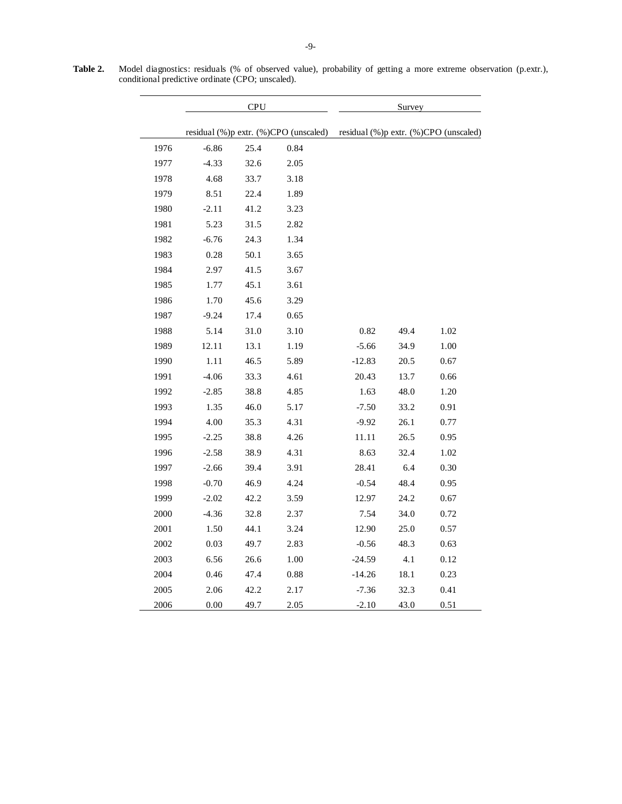**Table 2.** Model diagnostics: residuals (% of observed value), probability of getting a more extreme observation (p.extr.), conditional predictive ordinate (CPO; unscaled).

|      |         | <b>CPU</b> |                                       |          | Survey |                                       |
|------|---------|------------|---------------------------------------|----------|--------|---------------------------------------|
|      |         |            | residual (%)p extr. (%)CPO (unscaled) |          |        | residual (%)p extr. (%)CPO (unscaled) |
| 1976 | $-6.86$ | 25.4       | 0.84                                  |          |        |                                       |
| 1977 | $-4.33$ | 32.6       | 2.05                                  |          |        |                                       |
| 1978 | 4.68    | 33.7       | 3.18                                  |          |        |                                       |
| 1979 | 8.51    | 22.4       | 1.89                                  |          |        |                                       |
| 1980 | $-2.11$ | 41.2       | 3.23                                  |          |        |                                       |
| 1981 | 5.23    | 31.5       | 2.82                                  |          |        |                                       |
| 1982 | $-6.76$ | 24.3       | 1.34                                  |          |        |                                       |
| 1983 | 0.28    | 50.1       | 3.65                                  |          |        |                                       |
| 1984 | 2.97    | 41.5       | 3.67                                  |          |        |                                       |
| 1985 | 1.77    | 45.1       | 3.61                                  |          |        |                                       |
| 1986 | 1.70    | 45.6       | 3.29                                  |          |        |                                       |
| 1987 | $-9.24$ | 17.4       | 0.65                                  |          |        |                                       |
| 1988 | 5.14    | 31.0       | 3.10                                  | 0.82     | 49.4   | 1.02                                  |
| 1989 | 12.11   | 13.1       | 1.19                                  | $-5.66$  | 34.9   | $1.00\,$                              |
| 1990 | 1.11    | 46.5       | 5.89                                  | $-12.83$ | 20.5   | 0.67                                  |
| 1991 | $-4.06$ | 33.3       | 4.61                                  | 20.43    | 13.7   | 0.66                                  |
| 1992 | $-2.85$ | 38.8       | 4.85                                  | 1.63     | 48.0   | 1.20                                  |
| 1993 | 1.35    | 46.0       | 5.17                                  | $-7.50$  | 33.2   | 0.91                                  |
| 1994 | 4.00    | 35.3       | 4.31                                  | $-9.92$  | 26.1   | 0.77                                  |
| 1995 | $-2.25$ | 38.8       | 4.26                                  | 11.11    | 26.5   | 0.95                                  |
| 1996 | $-2.58$ | 38.9       | 4.31                                  | 8.63     | 32.4   | 1.02                                  |
| 1997 | $-2.66$ | 39.4       | 3.91                                  | 28.41    | 6.4    | 0.30                                  |
| 1998 | $-0.70$ | 46.9       | 4.24                                  | $-0.54$  | 48.4   | 0.95                                  |
| 1999 | $-2.02$ | 42.2       | 3.59                                  | 12.97    | 24.2   | 0.67                                  |
| 2000 | $-4.36$ | 32.8       | 2.37                                  | 7.54     | 34.0   | 0.72                                  |
| 2001 | 1.50    | 44.1       | 3.24                                  | 12.90    | 25.0   | 0.57                                  |
| 2002 | 0.03    | 49.7       | 2.83                                  | $-0.56$  | 48.3   | 0.63                                  |
| 2003 | 6.56    | 26.6       | $1.00\,$                              | $-24.59$ | 4.1    | 0.12                                  |
| 2004 | 0.46    | 47.4       | 0.88                                  | $-14.26$ | 18.1   | 0.23                                  |
| 2005 | 2.06    | 42.2       | 2.17                                  | $-7.36$  | 32.3   | 0.41                                  |
| 2006 | 0.00    | 49.7       | 2.05                                  | $-2.10$  | 43.0   | 0.51                                  |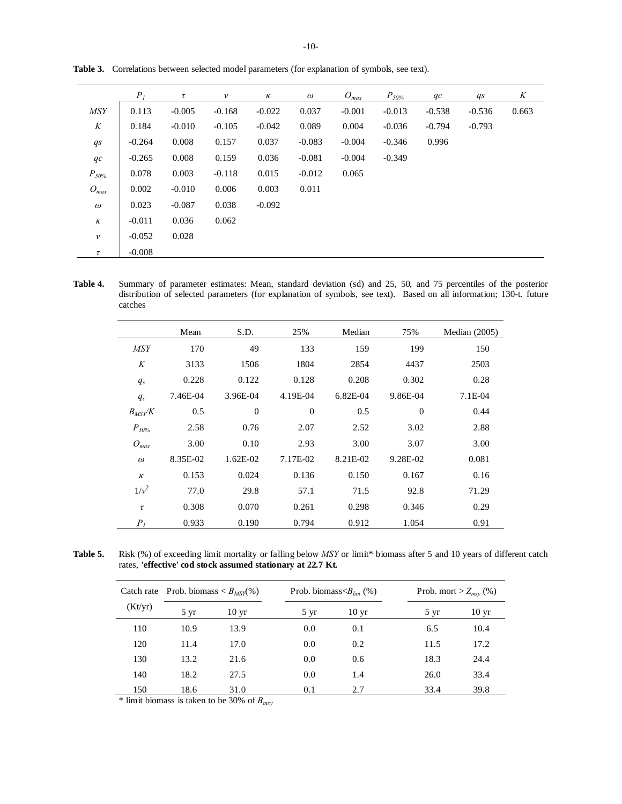-10-

|                    | $P_I$    | $\tau$   | $\mathcal V$ | $\kappa$ | $\omega$ | $O_{max}$ | $P_{50\%}$ | qc       | qs       | K     |
|--------------------|----------|----------|--------------|----------|----------|-----------|------------|----------|----------|-------|
| <b>MSY</b>         | 0.113    | $-0.005$ | $-0.168$     | $-0.022$ | 0.037    | $-0.001$  | $-0.013$   | $-0.538$ | $-0.536$ | 0.663 |
| K                  | 0.184    | $-0.010$ | $-0.105$     | $-0.042$ | 0.089    | 0.004     | $-0.036$   | $-0.794$ | $-0.793$ |       |
| $q_{S}$            | $-0.264$ | 0.008    | 0.157        | 0.037    | $-0.083$ | $-0.004$  | $-0.346$   | 0.996    |          |       |
| qc                 | $-0.265$ | 0.008    | 0.159        | 0.036    | $-0.081$ | $-0.004$  | $-0.349$   |          |          |       |
| $P_{50\%}$         | 0.078    | 0.003    | $-0.118$     | 0.015    | $-0.012$ | 0.065     |            |          |          |       |
| $O_{max}$          | 0.002    | $-0.010$ | 0.006        | 0.003    | 0.011    |           |            |          |          |       |
| $\omega$           | 0.023    | $-0.087$ | 0.038        | $-0.092$ |          |           |            |          |          |       |
| $\kappa$           | $-0.011$ | 0.036    | 0.062        |          |          |           |            |          |          |       |
| $\boldsymbol{\nu}$ | $-0.052$ | 0.028    |              |          |          |           |            |          |          |       |
| τ                  | $-0.008$ |          |              |          |          |           |            |          |          |       |

**Table 3.** Correlations between selected model parameters (for explanation of symbols, see text).

**Table 4.** Summary of parameter estimates: Mean, standard deviation (sd) and 25, 50, and 75 percentiles of the posterior distribution of selected parameters (for explanation of symbols, see text). Based on all information; 130-t. future catches

|                | Mean     | S.D.             | 25%              | Median   | 75%              | Median $(2005)$ |
|----------------|----------|------------------|------------------|----------|------------------|-----------------|
| <i>MSY</i>     | 170      | 49               | 133              | 159      | 199              | 150             |
| K              | 3133     | 1506             | 1804             | 2854     | 4437             | 2503            |
| $q_s$          | 0.228    | 0.122            | 0.128            | 0.208    | 0.302            | 0.28            |
| $q_c$          | 7.46E-04 | 3.96E-04         | 4.19E-04         | 6.82E-04 | 9.86E-04         | $7.1E-04$       |
| $B_{MS}$ y $K$ | 0.5      | $\boldsymbol{0}$ | $\boldsymbol{0}$ | 0.5      | $\boldsymbol{0}$ | 0.44            |
| $P_{50\%}$     | 2.58     | 0.76             | 2.07             | 2.52     | 3.02             | 2.88            |
| $O_{max}$      | 3.00     | 0.10             | 2.93             | 3.00     | 3.07             | 3.00            |
| $\omega$       | 8.35E-02 | $1.62E-02$       | 7.17E-02         | 8.21E-02 | 9.28E-02         | 0.081           |
| $\kappa$       | 0.153    | 0.024            | 0.136            | 0.150    | 0.167            | 0.16            |
| $1/v^2$        | 77.0     | 29.8             | 57.1             | 71.5     | 92.8             | 71.29           |
| $\tau$         | 0.308    | 0.070            | 0.261            | 0.298    | 0.346            | 0.29            |
| P <sub>I</sub> | 0.933    | 0.190            | 0.794            | 0.912    | 1.054            | 0.91            |

**Table 5.** Risk (%) of exceeding limit mortality or falling below *MSY* or limit\* biomass after 5 and 10 years of different catch rates, **'effective' cod stock assumed stationary at 22.7 Kt.** 

|         | Catch rate Prob. biomass $\langle B_{MSN}(\%)$ |                  |                | Prob. biomass $\langle B_{\rm lim} (%)$ | Prob. mort > $Z_{msv}$ (%) |                  |  |
|---------|------------------------------------------------|------------------|----------------|-----------------------------------------|----------------------------|------------------|--|
| (Kt/yr) | $5 \text{ yr}$                                 | 10 <sub>yr</sub> | $5 \text{ yr}$ | 10 <sub>yr</sub>                        | $5 \text{ yr}$             | 10 <sub>yr</sub> |  |
| 110     | 10.9                                           | 13.9             | 0.0            | 0.1                                     | 6.5                        | 10.4             |  |
| 120     | 11.4                                           | 17.0             | 0.0            | 0.2                                     | 11.5                       | 17.2             |  |
| 130     | 13.2                                           | 21.6             | 0.0            | 0.6                                     | 18.3                       | 24.4             |  |
| 140     | 18.2                                           | 27.5             | 0.0            | 1.4                                     | 26.0                       | 33.4             |  |
| 150     | 18.6                                           | 31.0             | 0.1            | 2.7                                     | 33.4                       | 39.8             |  |

\* limit biomass is taken to be 30% of *Bmsy*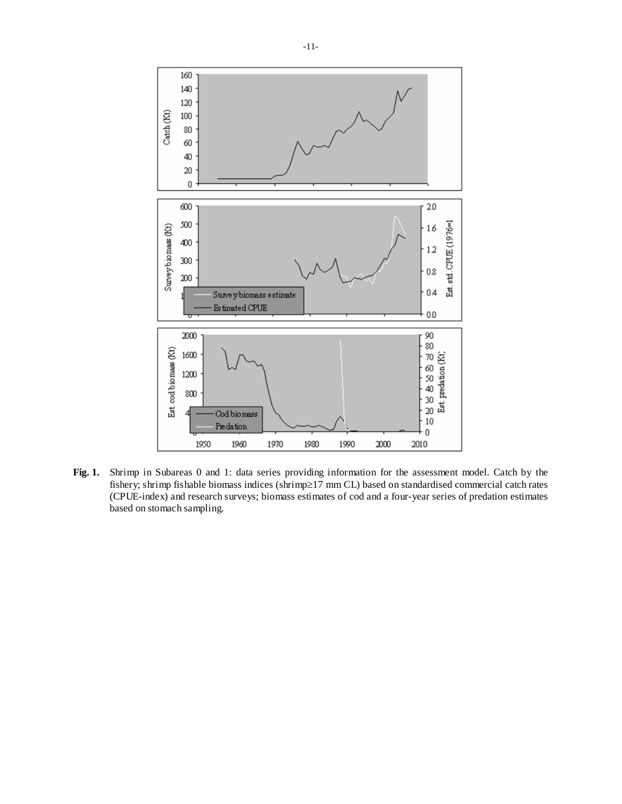

**Fig. 1.** Shrimp in Subareas 0 and 1: data series providing information for the assessment model. Catch by the fishery; shrimp fishable biomass indices (shrimp≥17 mm CL) based on standardised commercial catch rates (CPUE-index) and research surveys; biomass estimates of cod and a four-year series of predation estimates based on stomach sampling.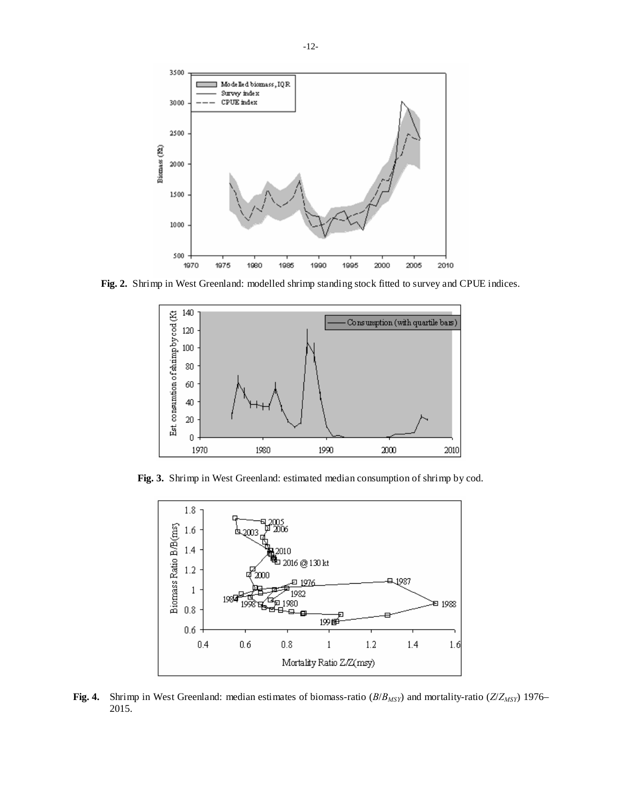

**Fig. 2.** Shrimp in West Greenland: modelled shrimp standing stock fitted to survey and CPUE indices.



**Fig. 3.** Shrimp in West Greenland: estimated median consumption of shrimp by cod.



**Fig. 4.** Shrimp in West Greenland: median estimates of biomass-ratio (*B*/*BMSY*) and mortality-ratio (*Z*/*ZMSY*) 1976– 2015.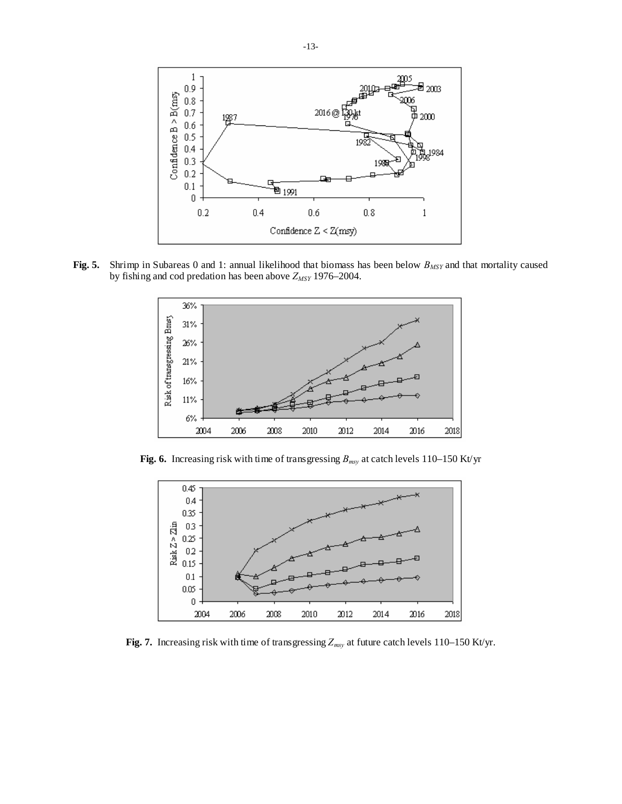

**Fig. 5.** Shrimp in Subareas 0 and 1: annual likelihood that biomass has been below  $B_{MSY}$  and that mortality caused by fishing and cod predation has been above *ZMSY* 1976–2004.



**Fig. 6.** Increasing risk with time of transgressing *Bmsy* at catch levels 110–150 Kt/yr



Fig. 7. Increasing risk with time of transgressing  $Z_{msy}$  at future catch levels 110–150 Kt/yr.